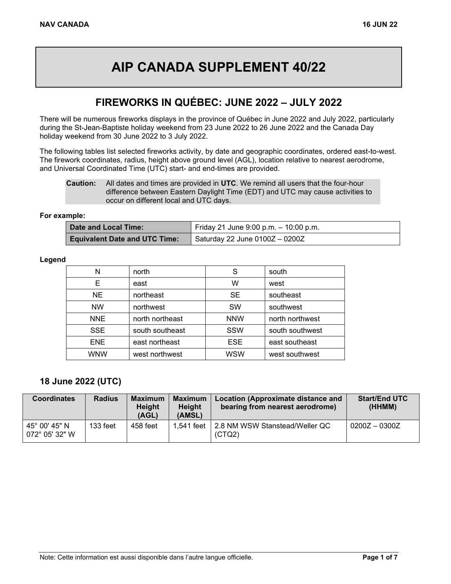# **AIP CANADA SUPPLEMENT 40/22**

#### **FIREWORKS IN QUÉBEC: JUNE 2022 – JULY 2022**

There will be numerous fireworks displays in the province of Québec in June 2022 and July 2022, particularly during the St-Jean-Baptiste holiday weekend from 23 June 2022 to 26 June 2022 and the Canada Day holiday weekend from 30 June 2022 to 3 July 2022.

The following tables list selected fireworks activity, by date and geographic coordinates, ordered east-to-west. The firework coordinates, radius, height above ground level (AGL), location relative to nearest aerodrome, and Universal Coordinated Time (UTC) start- and end-times are provided.

#### **For example:**

| Date and Local Time:                 | Friday 21 June 9:00 p.m. $-$ 10:00 p.m. |
|--------------------------------------|-----------------------------------------|
| <b>Equivalent Date and UTC Time:</b> | Saturday 22 June 0100Z - 0200Z          |

#### **Legend**

| Ν          | north           | S          | south           |
|------------|-----------------|------------|-----------------|
| Е          | east            | w          | west            |
| <b>NE</b>  | northeast       | <b>SE</b>  | southeast       |
| <b>NW</b>  | northwest       | <b>SW</b>  | southwest       |
| <b>NNE</b> | north northeast | <b>NNW</b> | north northwest |
| <b>SSE</b> | south southeast | <b>SSW</b> | south southwest |
| ENE.       | east northeast  | <b>ESE</b> | east southeast  |
| <b>WNW</b> | west northwest  | WSW        | west southwest  |

#### **18 June 2022 (UTC)**

| <b>Coordinates</b>                       | <b>Radius</b> | <b>Maximum</b><br><b>Height</b><br>(AGL) | <b>Maximum</b><br><b>Height</b><br>(AMSL) | Location (Approximate distance and<br>bearing from nearest aerodrome) | <b>Start/End UTC</b><br>(HHMM) |
|------------------------------------------|---------------|------------------------------------------|-------------------------------------------|-----------------------------------------------------------------------|--------------------------------|
| 45° 00' 45" N<br>$072^{\circ}$ 05' 32" W | $133$ feet    | 458 feet                                 |                                           | 1,541 feet   2.8 NM WSW Stanstead/Weller QC<br>(CTQ2)                 | $0200Z - 0300Z$                |

**Caution:** All dates and times are provided in **UTC**. We remind all users that the four-hour difference between Eastern Daylight Time (EDT) and UTC may cause activities to occur on different local and UTC days.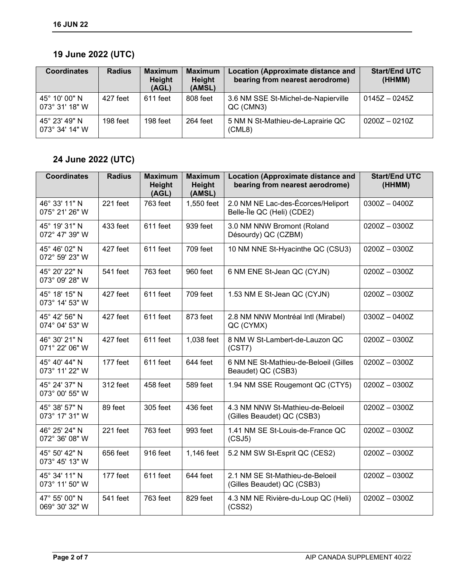## **19 June 2022 (UTC)**

| <b>Coordinates</b>              | <b>Radius</b> | <b>Maximum</b><br>Height<br>(AGL) | <b>Maximum</b><br>Height<br>(AMSL) | <b>Location (Approximate distance and</b><br>bearing from nearest aerodrome) | <b>Start/End UTC</b><br>(HHMM) |
|---------------------------------|---------------|-----------------------------------|------------------------------------|------------------------------------------------------------------------------|--------------------------------|
| 45° 10' 00" N<br>073° 31' 18" W | 427 feet      | 611 feet                          | 808 feet                           | 3.6 NM SSE St-Michel-de-Napierville<br>QC (CMN3)                             | $0145Z - 0245Z$                |
| 45° 23' 49" N<br>073° 34' 14" W | 198 feet      | 198 feet                          | 264 feet                           | 5 NM N St-Mathieu-de-Laprairie QC<br>(CML8)                                  | $0200Z - 0210Z$                |

## **24 June 2022 (UTC)**

| <b>Coordinates</b>              | <b>Radius</b> | <b>Maximum</b><br>Height<br>(AGL) | <b>Maximum</b><br>Height<br>(AMSL) | <b>Location (Approximate distance and</b><br>bearing from nearest aerodrome) | <b>Start/End UTC</b><br>(HHMM) |
|---------------------------------|---------------|-----------------------------------|------------------------------------|------------------------------------------------------------------------------|--------------------------------|
| 46° 33' 11" N<br>075° 21' 26" W | 221 feet      | 763 feet                          | 1,550 feet                         | 2.0 NM NE Lac-des-Écorces/Heliport<br>Belle-Île QC (Heli) (CDE2)             | $0300Z - 0400Z$                |
| 45° 19' 31" N<br>072° 47' 39" W | 433 feet      | 611 feet                          | 939 feet                           | 3.0 NM NNW Bromont (Roland<br>Désourdy) QC (CZBM)                            | $0200Z - 0300Z$                |
| 45° 46' 02" N<br>072° 59' 23" W | 427 feet      | 611 feet                          | 709 feet                           | 10 NM NNE St-Hyacinthe QC (CSU3)                                             | $0200Z - 0300Z$                |
| 45° 20' 22" N<br>073° 09' 28" W | 541 feet      | 763 feet                          | 960 feet                           | 6 NM ENE St-Jean QC (CYJN)                                                   | $0200Z - 0300Z$                |
| 45° 18' 15" N<br>073° 14' 53" W | 427 feet      | 611 feet                          | 709 feet                           | 1.53 NM E St-Jean QC (CYJN)                                                  | $0200Z - 0300Z$                |
| 45° 42' 56" N<br>074° 04' 53" W | 427 feet      | 611 feet                          | 873 feet                           | 2.8 NM NNW Montréal Intl (Mirabel)<br>QC (CYMX)                              | $0300Z - 0400Z$                |
| 46° 30' 21" N<br>071° 22' 06" W | 427 feet      | 611 feet                          | 1,038 feet                         | 8 NM W St-Lambert-de-Lauzon QC<br>(CST7)                                     | $0200Z - 0300Z$                |
| 45° 40' 44" N<br>073° 11' 22" W | 177 feet      | 611 feet                          | 644 feet                           | 6 NM NE St-Mathieu-de-Beloeil (Gilles<br>Beaudet) QC (CSB3)                  | $0200Z - 0300Z$                |
| 45° 24' 37" N<br>073° 00' 55" W | 312 feet      | 458 feet                          | 589 feet                           | 1.94 NM SSE Rougemont QC (CTY5)                                              | $0200Z - 0300Z$                |
| 45° 38' 57" N<br>073° 17' 31" W | 89 feet       | 305 feet                          | 436 feet                           | 4.3 NM NNW St-Mathieu-de-Beloeil<br>(Gilles Beaudet) QC (CSB3)               | $0200Z - 0300Z$                |
| 46° 25' 24" N<br>072° 36' 08" W | 221 feet      | 763 feet                          | 993 feet                           | 1.41 NM SE St-Louis-de-France QC<br>(CSJ5)                                   | $0200Z - 0300Z$                |
| 45° 50' 42" N<br>073° 45' 13" W | 656 feet      | 916 feet                          | 1,146 feet                         | 5.2 NM SW St-Esprit QC (CES2)                                                | $0200Z - 0300Z$                |
| 45° 34' 11" N<br>073° 11' 50" W | 177 feet      | 611 feet                          | 644 feet                           | 2.1 NM SE St-Mathieu-de-Beloeil<br>(Gilles Beaudet) QC (CSB3)                | $0200Z - 0300Z$                |
| 47° 55' 00" N<br>069° 30' 32" W | 541 feet      | 763 feet                          | 829 feet                           | 4.3 NM NE Rivière-du-Loup QC (Heli)<br>(CSS2)                                | $0200Z - 0300Z$                |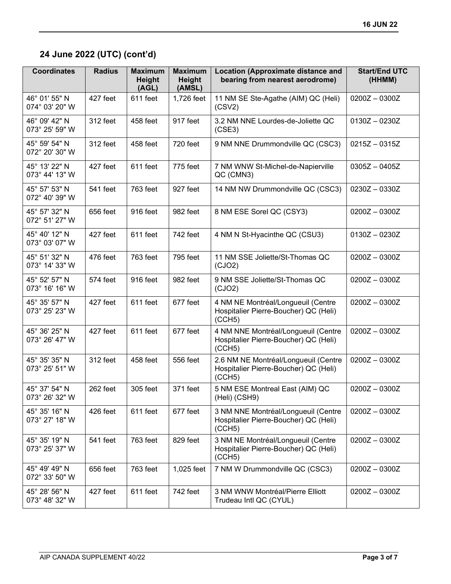# **24 June 2022 (UTC) (cont'd)**

| <b>Coordinates</b>              | <b>Radius</b> | <b>Maximum</b><br><b>Height</b><br>(AGL) | <b>Maximum</b><br><b>Height</b><br>(AMSL) | <b>Location (Approximate distance and</b><br>bearing from nearest aerodrome)            | <b>Start/End UTC</b><br>(HHMM) |
|---------------------------------|---------------|------------------------------------------|-------------------------------------------|-----------------------------------------------------------------------------------------|--------------------------------|
| 46° 01' 55" N<br>074° 03' 20" W | 427 feet      | 611 feet                                 | 1,726 feet                                | 11 NM SE Ste-Agathe (AIM) QC (Heli)<br>(CSV2)                                           | $0200Z - 0300Z$                |
| 46° 09' 42" N<br>073° 25' 59" W | 312 feet      | 458 feet                                 | 917 feet                                  | 3.2 NM NNE Lourdes-de-Joliette QC<br>(CSE3)                                             | $0130Z - 0230Z$                |
| 45° 59' 54" N<br>072° 20' 30" W | 312 feet      | 458 feet                                 | 720 feet                                  | 9 NM NNE Drummondville QC (CSC3)                                                        | $0215Z - 0315Z$                |
| 45° 13' 22" N<br>073° 44' 13" W | 427 feet      | 611 feet                                 | 775 feet                                  | 7 NM WNW St-Michel-de-Napierville<br>QC (CMN3)                                          | $0305Z - 0405Z$                |
| 45° 57' 53" N<br>072° 40' 39" W | 541 feet      | 763 feet                                 | 927 feet                                  | 14 NM NW Drummondville QC (CSC3)                                                        | $0230Z - 0330Z$                |
| 45° 57' 32" N<br>072° 51' 27" W | 656 feet      | 916 feet                                 | 982 feet                                  | 8 NM ESE Sorel QC (CSY3)                                                                | $0200Z - 0300Z$                |
| 45° 40' 12" N<br>073° 03' 07" W | 427 feet      | 611 feet                                 | 742 feet                                  | 4 NM N St-Hyacinthe QC (CSU3)                                                           | $0130Z - 0230Z$                |
| 45° 51' 32" N<br>073° 14' 33" W | 476 feet      | 763 feet                                 | 795 feet                                  | 11 NM SSE Joliette/St-Thomas QC<br>(CJO2)                                               | $0200Z - 0300Z$                |
| 45° 52' 57" N<br>073° 16' 16" W | 574 feet      | 916 feet                                 | 982 feet                                  | 9 NM SSE Joliette/St-Thomas QC<br>(CJO2)                                                | $0200Z - 0300Z$                |
| 45° 35' 57" N<br>073° 25' 23" W | 427 feet      | 611 feet                                 | 677 feet                                  | 4 NM NE Montréal/Longueuil (Centre<br>Hospitalier Pierre-Boucher) QC (Heli)<br>(CCH5)   | $0200Z - 0300Z$                |
| 45° 36' 25" N<br>073° 26' 47" W | 427 feet      | 611 feet                                 | 677 feet                                  | 4 NM NNE Montréal/Longueuil (Centre<br>Hospitalier Pierre-Boucher) QC (Heli)<br>(CCH5)  | $0200Z - 0300Z$                |
| 45° 35' 35" N<br>073° 25' 51" W | 312 feet      | 458 feet                                 | 556 feet                                  | 2.6 NM NE Montréal/Longueuil (Centre<br>Hospitalier Pierre-Boucher) QC (Heli)<br>(CCH5) | $0200Z - 0300Z$                |
| 45° 37' 54" N<br>073° 26' 32" W | 262 feet      | 305 feet                                 | 371 feet                                  | 5 NM ESE Montreal East (AIM) QC<br>(Heli) (CSH9)                                        | $0200Z - 0300Z$                |
| 45° 35' 16" N<br>073° 27' 18" W | 426 feet      | 611 feet                                 | 677 feet                                  | 3 NM NNE Montréal/Longueuil (Centre<br>Hospitalier Pierre-Boucher) QC (Heli)<br>(CCH5)  | $0200Z - 0300Z$                |
| 45° 35' 19" N<br>073° 25' 37" W | 541 feet      | 763 feet                                 | 829 feet                                  | 3 NM NE Montréal/Longueuil (Centre<br>Hospitalier Pierre-Boucher) QC (Heli)<br>(CCH5)   | $0200Z - 0300Z$                |
| 45° 49' 49" N<br>072° 33' 50" W | 656 feet      | 763 feet                                 | 1,025 feet                                | 7 NM W Drummondville QC (CSC3)                                                          | $0200Z - 0300Z$                |
| 45° 28' 56" N<br>073° 48' 32" W | 427 feet      | 611 feet                                 | 742 feet                                  | 3 NM WNW Montréal/Pierre Elliott<br>Trudeau Intl QC (CYUL)                              | $0200Z - 0300Z$                |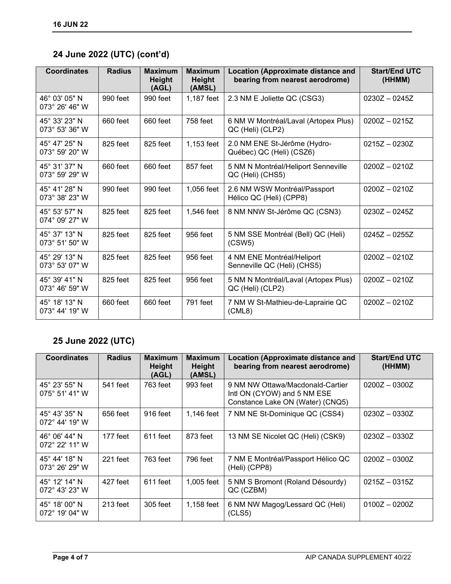## **24 June 2022 (UTC) (cont'd)**

| <b>Coordinates</b>                       | <b>Radius</b> | <b>Maximum</b><br><b>Height</b><br>(AGL) | <b>Maximum</b><br><b>Height</b><br>(AMSL) | <b>Location (Approximate distance and</b><br>bearing from nearest aerodrome) | <b>Start/End UTC</b><br>(HHMM) |
|------------------------------------------|---------------|------------------------------------------|-------------------------------------------|------------------------------------------------------------------------------|--------------------------------|
| 46° 03' 05" N<br>$073^{\circ}$ 26' 46" W | 990 feet      | 990 feet                                 | 1,187 feet                                | 2.3 NM E Joliette QC (CSG3)                                                  | $0230Z - 0245Z$                |
| 45° 33' 23" N<br>073° 53' 36" W          | 660 feet      | 660 feet                                 | 758 feet                                  | 6 NM W Montréal/Laval (Artopex Plus)<br>QC (Heli) (CLP2)                     | $0200Z - 0215Z$                |
| 45° 47' 25" N<br>073° 59' 20" W          | 825 feet      | 825 feet                                 | 1,153 feet                                | 2.0 NM ENE St-Jérôme (Hydro-<br>Québec) QC (Heli) (CSZ6)                     | $0215Z - 0230Z$                |
| 45° 31' 37" N<br>073° 59' 29" W          | 660 feet      | 660 feet                                 | 857 feet                                  | 5 NM N Montréal/Heliport Senneville<br>QC (Heli) (CHS5)                      | $0200Z - 0210Z$                |
| 45° 41' 28" N<br>073° 38' 23" W          | 990 feet      | 990 feet                                 | 1,056 feet                                | 2.6 NM WSW Montréal/Passport<br>Hélico QC (Heli) (CPP8)                      | $0200Z - 0210Z$                |
| 45° 53' 57" N<br>074° 09' 27" W          | 825 feet      | 825 feet                                 | 1,546 feet                                | 8 NM NNW St-Jérôme QC (CSN3)                                                 | $0230Z - 0245Z$                |
| 45° 37' 13" N<br>073° 51' 50" W          | 825 feet      | 825 feet                                 | 956 feet                                  | 5 NM SSE Montréal (Bell) QC (Heli)<br>(CSW5)                                 | $0245Z - 0255Z$                |
| 45° 29' 13" N<br>073° 53' 07" W          | 825 feet      | 825 feet                                 | 956 feet                                  | 4 NM ENE Montréal/Heliport<br>Senneville QC (Heli) (CHS5)                    | $0200Z - 0210Z$                |
| 45° 39' 41" N<br>073° 46' 59" W          | 825 feet      | 825 feet                                 | 956 feet                                  | 5 NM N Montréal/Laval (Artopex Plus)<br>QC (Heli) (CLP2)                     | $0200Z - 0210Z$                |
| 45° 18' 13" N<br>$073^{\circ}$ 44' 19" W | 660 feet      | 660 feet                                 | 791 feet                                  | 7 NM W St-Mathieu-de-Laprairie QC<br>(CML8)                                  | $0200Z - 0210Z$                |

## **25 June 2022 (UTC)**

| <b>Coordinates</b>                       | <b>Radius</b> | <b>Maximum</b><br>Height<br>(AGL) | <b>Maximum</b><br><b>Height</b><br>(AMSL) | <b>Location (Approximate distance and</b><br>bearing from nearest aerodrome)                        | <b>Start/End UTC</b><br>(HHMM) |
|------------------------------------------|---------------|-----------------------------------|-------------------------------------------|-----------------------------------------------------------------------------------------------------|--------------------------------|
| 45° 23' 55" N<br>$075^{\circ}$ 51' 41" W | 541 feet      | 763 feet                          | 993 feet                                  | 9 NM NW Ottawa/Macdonald-Cartier<br>Intl ON (CYOW) and 5 NM ESE<br>Constance Lake ON (Water) (CNQ5) | $0200Z - 0300Z$                |
| 45° 43' 35" N<br>$072^{\circ}$ 44' 19" W | 656 feet      | 916 feet                          | 1,146 feet                                | 7 NM NE St-Dominique QC (CSS4)                                                                      | $0230Z - 0330Z$                |
| 46° 06' 44" N<br>$072^{\circ}$ 22' 11" W | 177 feet      | $611$ feet                        | 873 feet                                  | 13 NM SE Nicolet QC (Heli) (CSK9)                                                                   | $0230Z - 0330Z$                |
| 45° 44' 18" N<br>$073^{\circ}$ 26' 29" W | $221$ feet    | 763 feet                          | 796 feet                                  | 7 NM E Montréal/Passport Hélico QC<br>(Heli) (CPP8)                                                 | $0200Z - 0300Z$                |
| 45° 12' 14" N<br>$072^{\circ}$ 43' 23" W | 427 feet      | $611$ feet                        | 1,005 feet                                | 5 NM S Bromont (Roland Désourdy)<br>QC (CZBM)                                                       | $0215Z - 0315Z$                |
| 45° 18' 00" N<br>$072^{\circ}$ 19' 04" W | $213$ feet    | 305 feet                          | 1,158 feet                                | 6 NM NW Magog/Lessard QC (Heli)<br>(CLS5)                                                           | $0100Z - 0200Z$                |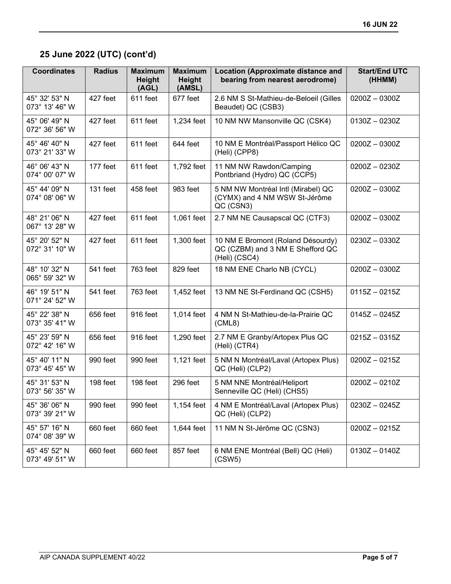# **25 June 2022 (UTC) (cont'd)**

| <b>Coordinates</b>              | <b>Radius</b> | <b>Maximum</b><br><b>Height</b><br>(AGL) | <b>Maximum</b><br><b>Height</b><br>(AMSL) | <b>Location (Approximate distance and</b><br>bearing from nearest aerodrome)           | <b>Start/End UTC</b><br>(HHMM) |
|---------------------------------|---------------|------------------------------------------|-------------------------------------------|----------------------------------------------------------------------------------------|--------------------------------|
| 45° 32' 53" N<br>073° 13' 46" W | 427 feet      | 611 feet                                 | 677 feet                                  | 2.6 NM S St-Mathieu-de-Beloeil (Gilles<br>Beaudet) QC (CSB3)                           | $0200Z - 0300Z$                |
| 45° 06' 49" N<br>072° 36' 56" W | 427 feet      | 611 feet                                 | 1,234 feet                                | 10 NM NW Mansonville QC (CSK4)                                                         | $0130Z - 0230Z$                |
| 45° 46' 40" N<br>073° 21' 33" W | 427 feet      | 611 feet                                 | 644 feet                                  | 10 NM E Montréal/Passport Hélico QC<br>(Heli) (CPP8)                                   | $0200Z - 0300Z$                |
| 46° 06' 43" N<br>074° 00' 07" W | 177 feet      | 611 feet                                 | 1,792 feet                                | 11 NM NW Rawdon/Camping<br>Pontbriand (Hydro) QC (CCP5)                                | $0200Z - 0230Z$                |
| 45° 44' 09" N<br>074° 08' 06" W | 131 feet      | 458 feet                                 | 983 feet                                  | 5 NM NW Montréal Intl (Mirabel) QC<br>(CYMX) and 4 NM WSW St-Jérôme<br>QC (CSN3)       | $0200Z - 0300Z$                |
| 48° 21' 06" N<br>067° 13' 28" W | 427 feet      | 611 feet                                 | 1,061 feet                                | 2.7 NM NE Causapscal QC (CTF3)                                                         | $0200Z - 0300Z$                |
| 45° 20' 52" N<br>072° 31' 10" W | 427 feet      | 611 feet                                 | 1,300 feet                                | 10 NM E Bromont (Roland Désourdy)<br>QC (CZBM) and 3 NM E Shefford QC<br>(Heli) (CSC4) | $0230Z - 0330Z$                |
| 48° 10' 32" N<br>065° 59' 32" W | 541 feet      | 763 feet                                 | 829 feet                                  | 18 NM ENE Charlo NB (CYCL)                                                             | $0200Z - 0300Z$                |
| 46° 19' 51" N<br>071° 24' 52" W | 541 feet      | 763 feet                                 | 1,452 feet                                | 13 NM NE St-Ferdinand QC (CSH5)                                                        | $0115Z - 0215Z$                |
| 45° 22' 38" N<br>073° 35' 41" W | 656 feet      | 916 feet                                 | 1,014 feet                                | 4 NM N St-Mathieu-de-la-Prairie QC<br>(CML8)                                           | $0145Z - 0245Z$                |
| 45° 23' 59" N<br>072° 42' 16" W | 656 feet      | 916 feet                                 | 1,290 feet                                | 2.7 NM E Granby/Artopex Plus QC<br>(Heli) (CTR4)                                       | $0215Z - 0315Z$                |
| 45° 40' 11" N<br>073° 45' 45" W | 990 feet      | 990 feet                                 | 1,121 feet                                | 5 NM N Montréal/Laval (Artopex Plus)<br>QC (Heli) (CLP2)                               | $0200Z - 0215Z$                |
| 45° 31' 53" N<br>073° 56' 35" W | 198 feet      | 198 feet                                 | 296 feet                                  | 5 NM NNE Montréal/Heliport<br>Senneville QC (Heli) (CHS5)                              | $0200Z - 0210Z$                |
| 45° 36' 06" N<br>073° 39' 21" W | 990 feet      | 990 feet                                 | 1,154 feet                                | 4 NM E Montréal/Laval (Artopex Plus)<br>QC (Heli) (CLP2)                               | $0230Z - 0245Z$                |
| 45° 57' 16" N<br>074° 08' 39" W | 660 feet      | 660 feet                                 | 1,644 feet                                | 11 NM N St-Jérôme QC (CSN3)                                                            | $0200Z - 0215Z$                |
| 45° 45' 52" N<br>073° 49' 51" W | 660 feet      | 660 feet                                 | 857 feet                                  | 6 NM ENE Montréal (Bell) QC (Heli)<br>(CSW5)                                           | $0130Z - 0140Z$                |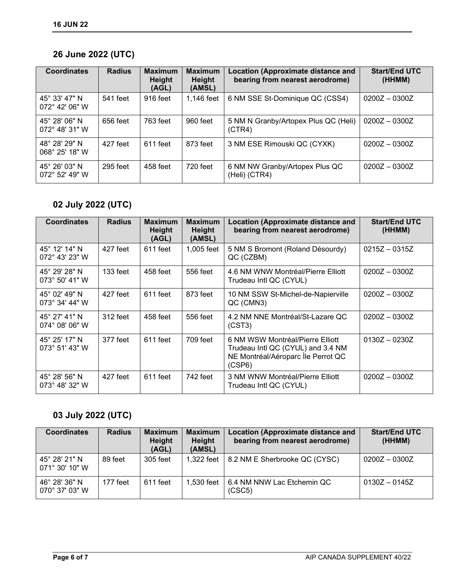## **26 June 2022 (UTC)**

| <b>Coordinates</b>                                 | <b>Radius</b> | <b>Maximum</b><br>Height<br>(AGL) | <b>Maximum</b><br><b>Height</b><br>(AMSL) | <b>Location (Approximate distance and</b><br>bearing from nearest aerodrome) | <b>Start/End UTC</b><br>(HHMM) |
|----------------------------------------------------|---------------|-----------------------------------|-------------------------------------------|------------------------------------------------------------------------------|--------------------------------|
| 45° 33' 47" N<br>$072^{\circ}$ 42' 06" W           | 541 feet      | 916 feet                          | 1,146 feet                                | 6 NM SSE St-Dominique QC (CSS4)                                              | $0200Z - 0300Z$                |
| 45° 28' 06" N<br>$072^{\circ}$ 48' 31" W           | 656 feet      | 763 feet                          | 960 feet                                  | 5 NM N Granby/Artopex Plus QC (Heli)<br>(CTR4)                               | $0200Z - 0300Z$                |
| 48° 28' 29" N<br>068° 25' 18" W                    | 427 feet      | 611 feet                          | 873 feet                                  | 3 NM ESE Rimouski QC (CYXK)                                                  | $0200Z - 0300Z$                |
| $45^{\circ}$ 26' 0.3" N<br>$072^{\circ}$ 52' 49" W | $295$ feet    | 458 feet                          | 720 feet                                  | 6 NM NW Granby/Artopex Plus QC<br>(Heli) (CTR4)                              | $0200Z - 0300Z$                |

## **02 July 2022 (UTC)**

| <b>Coordinates</b>                       | <b>Radius</b> | <b>Maximum</b><br>Height<br>(AGL) | <b>Maximum</b><br>Height<br>(AMSL) | <b>Location (Approximate distance and</b><br>bearing from nearest aerodrome)                                          | <b>Start/End UTC</b><br>(HHMM) |
|------------------------------------------|---------------|-----------------------------------|------------------------------------|-----------------------------------------------------------------------------------------------------------------------|--------------------------------|
| 45° 12' 14" N<br>$072^{\circ}$ 43' 23" W | 427 feet      | 611 feet                          | 1,005 feet                         | 5 NM S Bromont (Roland Désourdy)<br>QC (CZBM)                                                                         | $0215Z - 0315Z$                |
| 45° 29' 28" N<br>$073^{\circ}$ 50' 41" W | $133$ feet    | 458 feet                          | 556 feet                           | 4.6 NM WNW Montréal/Pierre Elliott<br>Trudeau Intl QC (CYUL)                                                          | $0200Z - 0300Z$                |
| 45° 02' 49" N<br>$073^{\circ}$ 34' 44" W | 427 feet      | 611 feet                          | 873 feet                           | 10 NM SSW St-Michel-de-Napierville<br>QC (CMN3)                                                                       | $0200Z - 0300Z$                |
| 45° 27' 41" N<br>$074^{\circ}$ 08' 06" W | 312 feet      | 458 feet                          | 556 feet                           | 4.2 NM NNE Montréal/St-Lazare QC<br>(CST3)                                                                            | $0200Z - 0300Z$                |
| 45° 25' 17" N<br>$073^{\circ}$ 51' 43" W | 377 feet      | 611 feet                          | 709 feet                           | 6 NM WSW Montréal/Pierre Elliott<br>Trudeau Intl QC (CYUL) and 3.4 NM<br>NE Montréal/Aéroparc lle Perrot QC<br>(CSP6) | $0130Z - 0230Z$                |
| 45° 28' 56" N<br>$073^{\circ}$ 48' 32" W | 427 feet      | 611 feet                          | 742 feet                           | 3 NM WNW Montréal/Pierre Elliott<br>Trudeau Intl QC (CYUL)                                                            | $0200Z - 0300Z$                |

## **03 July 2022 (UTC)**

| <b>Coordinates</b>              | <b>Radius</b> | <b>Maximum</b><br>Height<br>(AGL) | <b>Maximum</b><br>Height<br>(AMSL) | <b>Location (Approximate distance and</b><br>bearing from nearest aerodrome) | <b>Start/End UTC</b><br>(HHMM) |
|---------------------------------|---------------|-----------------------------------|------------------------------------|------------------------------------------------------------------------------|--------------------------------|
| 45° 28′ 21″ N<br>071° 30' 10" W | 89 feet       | 305 feet                          | 1.322 feet                         | 8.2 NM E Sherbrooke QC (CYSC)                                                | $0200Z - 0300Z$                |
| 46° 28' 36" N<br>070° 37' 03" W | 177 feet      | 611 feet                          | 1.530 feet                         | 6.4 NM NNW Lac Etchemin QC<br>(CSC5)                                         | $0130Z - 0145Z$                |